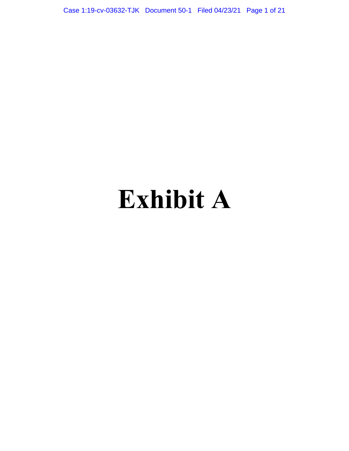Case 1:19-cv-03632-TJK Document 50-1 Filed 04/23/21 Page 1 of 21

# **Exhibit A**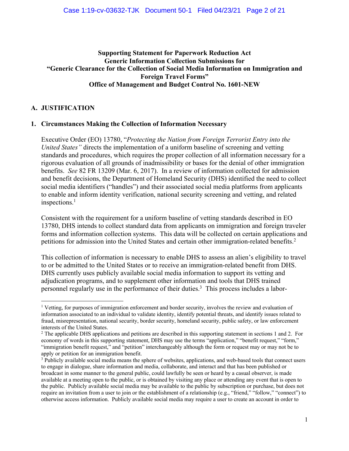## **Supporting Statement for Paperwork Reduction Act Generic Information Collection Submissions for "Generic Clearance for the Collection of Social Media Information on Immigration and Foreign Travel Forms" Office of Management and Budget Control No. 1601-NEW**

## **A. JUSTIFICATION**

## **1. Circumstances Making the Collection of Information Necessary**

Executive Order (EO) 13780, "*Protecting the Nation from Foreign Terrorist Entry into the United States"* directs the implementation of a uniform baseline of screening and vetting standards and procedures, which requires the proper collection of all information necessary for a rigorous evaluation of all grounds of inadmissibility or bases for the denial of other immigration benefits. *See* 82 FR 13209 (Mar. 6, 2017). In a review of information collected for admission and benefit decisions, the Department of Homeland Security (DHS) identified the need to collect social media identifiers ("handles") and their associated social media platforms from applicants to enable and inform identity verification, national security screening and vetting, and related inspections.<sup>1</sup>

Consistent with the requirement for a uniform baseline of vetting standards described in EO 13780, DHS intends to collect standard data from applicants on immigration and foreign traveler forms and information collection systems. This data will be collected on certain applications and petitions for admission into the United States and certain other immigration-related benefits.<sup>2</sup>

This collection of information is necessary to enable DHS to assess an alien's eligibility to travel to or be admitted to the United States or to receive an immigration-related benefit from DHS. DHS currently uses publicly available social media information to support its vetting and adjudication programs, and to supplement other information and tools that DHS trained personnel regularly use in the performance of their duties. 3 This process includes a labor-

<sup>&</sup>lt;sup>1</sup> Vetting, for purposes of immigration enforcement and border security, involves the review and evaluation of information associated to an individual to validate identity, identify potential threats, and identify issues related to fraud, misrepresentation, national security, border security, homeland security, public safety, or law enforcement interests of the United States.

<sup>2</sup> The applicable DHS applications and petitions are described in this supporting statement in sections 1 and 2. For economy of words in this supporting statement, DHS may use the terms "application," "benefit request," "form," "immigration benefit request," and "petition" interchangeably although the form or request may or may not be to apply or petition for an immigration benefit.

<sup>&</sup>lt;sup>3</sup> Publicly available social media means the sphere of websites, applications, and web-based tools that connect users to engage in dialogue, share information and media, collaborate, and interact and that has been published or broadcast in some manner to the general public, could lawfully be seen or heard by a casual observer, is made available at a meeting open to the public, or is obtained by visiting any place or attending any event that is open to the public. Publicly available social media may be available to the public by subscription or purchase, but does not require an invitation from a user to join or the establishment of a relationship (e.g., "friend," "follow," "connect") to otherwise access information. Publicly available social media may require a user to create an account in order to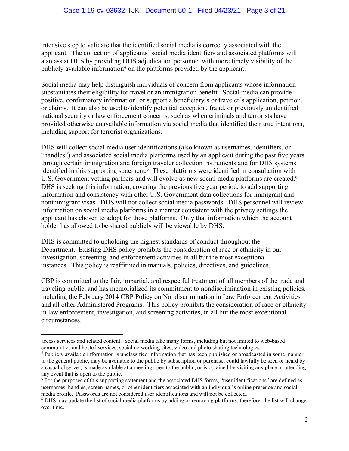intensive step to validate that the identified social media is correctly associated with the applicant. The collection of applicants' social media identifiers and associated platforms will also assist DHS by providing DHS adjudication personnel with more timely visibility of the publicly available information<sup>4</sup> on the platforms provided by the applicant.

Social media may help distinguish individuals of concern from applicants whose information substantiates their eligibility for travel or an immigration benefit. Social media can provide positive, confirmatory information, or support a beneficiary's or traveler's application, petition, or claims. It can also be used to identify potential deception, fraud, or previously unidentified national security or law enforcement concerns, such as when criminals and terrorists have provided otherwise unavailable information via social media that identified their true intentions, including support for terrorist organizations.

DHS will collect social media user identifications (also known as usernames, identifiers, or "handles") and associated social media platforms used by an applicant during the past five years through certain immigration and foreign traveler collection instruments and for DHS systems identified in this supporting statement.<sup>5</sup> These platforms were identified in consultation with U.S. Government vetting partners and will evolve as new social media platforms are created.<sup>6</sup> DHS is seeking this information, covering the previous five year period, to add supporting information and consistency with other U.S. Government data collections for immigrant and nonimmigrant visas. DHS will not collect social media passwords. DHS personnel will review information on social media platforms in a manner consistent with the privacy settings the applicant has chosen to adopt for those platforms. Only that information which the account holder has allowed to be shared publicly will be viewable by DHS.

DHS is committed to upholding the highest standards of conduct throughout the Department. Existing DHS policy prohibits the consideration of race or ethnicity in our investigation, screening, and enforcement activities in all but the most exceptional instances. This policy is reaffirmed in manuals, policies, directives, and guidelines.

CBP is committed to the fair, impartial, and respectful treatment of all members of the trade and traveling public, and has memorialized its commitment to nondiscrimination in existing policies, including the February 2014 CBP Policy on Nondiscrimination in Law Enforcement Activities and all other Administered Programs. This policy prohibits the consideration of race or ethnicity in law enforcement, investigation, and screening activities, in all but the most exceptional circumstances.

access services and related content. Social media take many forms, including but not limited to web-based communities and hosted services, social networking sites, video and photo sharing technologies.

<sup>4</sup> Publicly available information is unclassified information that has been published or broadcasted in some manner to the general public, may be available to the public by subscription or purchase, could lawfully be seen or heard by a casual observer, is made available at a meeting open to the public, or is obtained by visiting any place or attending any event that is open to the public.

<sup>&</sup>lt;sup>5</sup> For the purposes of this supporting statement and the associated DHS forms, "user identifications" are defined as usernames, handles, screen names, or other identifiers associated with an individual's online presence and social media profile. Passwords are not considered user identifications and will not be collected.

<sup>6</sup> DHS may update the list of social media platforms by adding or removing platforms; therefore, the list will change over time.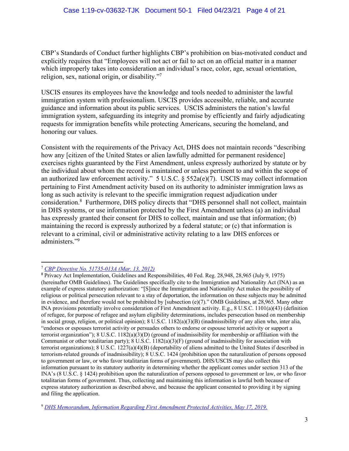CBP's Standards of Conduct further highlights CBP's prohibition on bias-motivated conduct and explicitly requires that "Employees will not act or fail to act on an official matter in a manner which improperly takes into consideration an individual's race, color, age, sexual orientation, religion, sex, national origin, or disability."<sup>7</sup>

USCIS ensures its employees have the knowledge and tools needed to administer the lawful immigration system with professionalism. USCIS provides accessible, reliable, and accurate guidance and information about its public services. USCIS administers the nation's lawful immigration system, safeguarding its integrity and promise by efficiently and fairly adjudicating requests for immigration benefits while protecting Americans, securing the homeland, and honoring our values.

Consistent with the requirements of the Privacy Act, DHS does not maintain records "describing how any [citizen of the United States or alien lawfully admitted for permanent residence] exercises rights guaranteed by the First Amendment, unless expressly authorized by statute or by the individual about whom the record is maintained or unless pertinent to and within the scope of an authorized law enforcement activity." 5 U.S.C. § 552a(e)(7). USCIS may collect information pertaining to First Amendment activity based on its authority to administer immigration laws as long as such activity is relevant to the specific immigration request adjudication under consideration. 8 Furthermore, DHS policy directs that "DHS personnel shall not collect, maintain in DHS systems, or use information protected by the First Amendment unless (a) an individual has expressly granted their consent for DHS to collect, maintain and use that information; (b) maintaining the record is expressly authorized by a federal statute; or (c) that information is relevant to a criminal, civil or administrative activity relating to a law DHS enforces or administers."<sup>9</sup>

<sup>7</sup> *CBP Directive No. 51735-013A (Mar. 13, 2012)*

<sup>8</sup> Privacy Act Implementation, Guidelines and Responsibilities, 40 Fed. Reg. 28,948, 28,965 (July 9, 1975) (hereinafter OMB Guidelines). The Guidelines specifically cite to the Immigration and Nationality Act (INA) as an example of express statutory authorization: "[S]ince the Immigration and Nationality Act makes the possibility of religious or political persecution relevant to a stay of deportation, the information on these subjects may be admitted in evidence, and therefore would not be prohibited by [subsection (e)(7)." OMB Guidelines, at 28,965. Many other INA provisions potentially involve consideration of First Amendment activity. E.g., 8 U.S.C. 1101(a)(43) (definition of refugee, for purpose of refugee and asylum eligibility determinations, includes persecution based on membership in social group, religion, or political opinion); 8 U.S.C. 1182(a)(3)(B) (inadmissibility of any alien who, inter alia, "endorses or espouses terrorist activity or persuades others to endorse or espouse terrorist activity or support a terrorist organization"); 8 U.S.C. 1182(a)(3)(D) (ground of inadmissibility for membership or affiliation with the Communist or other totalitarian party); 8 U.S.C. 1182(a)(3)(F) (ground of inadmissibility for association with terrorist organizations); 8 U.S.C. 1227(a)(4)(B) (deportability of aliens admitted to the United States if described in terrorism-related grounds of inadmissibility); 8 U.S.C. 1424 (prohibition upon the naturalization of persons opposed to government or law, or who favor totalitarian forms of government). DHS/USCIS may also collect this information pursuant to its statutory authority in determining whether the applicant comes under section 313 of the INA's (8 U.S.C. § 1424) prohibition upon the naturalization of persons opposed to government or law, or who favor totalitarian forms of government. Thus, collecting and maintaining this information is lawful both because of express statutory authorization as described above, and because the applicant consented to providing it by signing and filing the application.

<sup>9</sup> *DHS Memorandum, Information Regarding First Amendment Protected Activities, May 17, 2019*.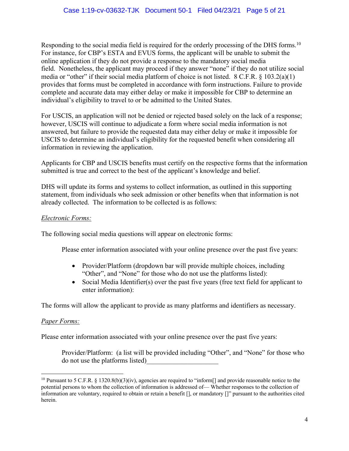Responding to the social media field is required for the orderly processing of the DHS forms.<sup>10</sup> For instance, for CBP's ESTA and EVUS forms, the applicant will be unable to submit the online application if they do not provide a response to the mandatory social media field. Nonetheless, the applicant may proceed if they answer "none" if they do not utilize social media or "other" if their social media platform of choice is not listed. 8 C.F.R. § 103.2(a)(1) provides that forms must be completed in accordance with form instructions. Failure to provide complete and accurate data may either delay or make it impossible for CBP to determine an individual's eligibility to travel to or be admitted to the United States.

For USCIS, an application will not be denied or rejected based solely on the lack of a response; however, USCIS will continue to adjudicate a form where social media information is not answered, but failure to provide the requested data may either delay or make it impossible for USCIS to determine an individual's eligibility for the requested benefit when considering all information in reviewing the application.

Applicants for CBP and USCIS benefits must certify on the respective forms that the information submitted is true and correct to the best of the applicant's knowledge and belief.

DHS will update its forms and systems to collect information, as outlined in this supporting statement, from individuals who seek admission or other benefits when that information is not already collected. The information to be collected is as follows:

# *Electronic Forms:*

The following social media questions will appear on electronic forms:

Please enter information associated with your online presence over the past five years:

- Provider/Platform (dropdown bar will provide multiple choices, including "Other", and "None" for those who do not use the platforms listed):
- Social Media Identifier(s) over the past five years (free text field for applicant to enter information):

The forms will allow the applicant to provide as many platforms and identifiers as necessary.

## *Paper Forms:*

Please enter information associated with your online presence over the past five years:

Provider/Platform: (a list will be provided including "Other", and "None" for those who do not use the platforms listed)\_\_\_\_\_\_\_\_\_\_\_\_\_\_\_\_\_\_\_\_\_

<sup>&</sup>lt;sup>10</sup> Pursuant to 5 C.F.R. § 1320.8(b)(3)(iv), agencies are required to "inform<sup>[]</sup> and provide reasonable notice to the potential persons to whom the collection of information is addressed of— Whether responses to the collection of information are voluntary, required to obtain or retain a benefit [], or mandatory []" pursuant to the authorities cited herein.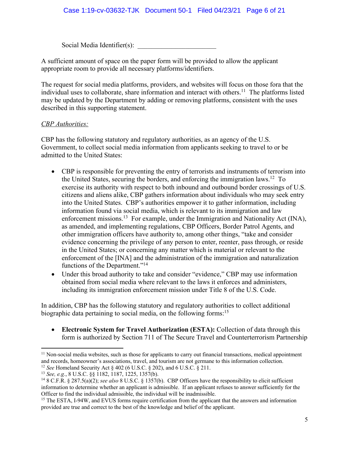Social Media Identifier $(s)$ :

A sufficient amount of space on the paper form will be provided to allow the applicant appropriate room to provide all necessary platforms/identifiers.

The request for social media platforms, providers, and websites will focus on those fora that the individual uses to collaborate, share information and interact with others.<sup>11</sup> The platforms listed may be updated by the Department by adding or removing platforms, consistent with the uses described in this supporting statement.

## *CBP Authorities:*

CBP has the following statutory and regulatory authorities, as an agency of the U.S. Government, to collect social media information from applicants seeking to travel to or be admitted to the United States:

- CBP is responsible for preventing the entry of terrorists and instruments of terrorism into the United States, securing the borders, and enforcing the immigration laws.<sup>12</sup> To exercise its authority with respect to both inbound and outbound border crossings of U.S. citizens and aliens alike, CBP gathers information about individuals who may seek entry into the United States. CBP's authorities empower it to gather information, including information found via social media, which is relevant to its immigration and law enforcement missions.<sup>13</sup> For example, under the Immigration and Nationality Act (INA), as amended, and implementing regulations, CBP Officers, Border Patrol Agents, and other immigration officers have authority to, among other things, "take and consider evidence concerning the privilege of any person to enter, reenter, pass through, or reside in the United States; or concerning any matter which is material or relevant to the enforcement of the [INA] and the administration of the immigration and naturalization functions of the Department."<sup>14</sup>
- Under this broad authority to take and consider "evidence," CBP may use information obtained from social media where relevant to the laws it enforces and administers, including its immigration enforcement mission under Title 8 of the U.S. Code.

In addition, CBP has the following statutory and regulatory authorities to collect additional biographic data pertaining to social media, on the following forms:<sup>15</sup>

• **Electronic System for Travel Authorization (ESTA):** Collection of data through this form is authorized by Section 711 of The Secure Travel and Counterterrorism Partnership

 $11$  Non-social media websites, such as those for applicants to carry out financial transactions, medical appointment and records, homeowner's associations, travel, and tourism are not germane to this information collection.

<sup>12</sup> *See* Homeland Security Act § 402 (6 U.S.C. § 202), and 6 U.S.C. § 211.

<sup>13</sup> *See, e.g.*, 8 U.S.C. §§ 1182, 1187, 1225, 1357(b).

<sup>14</sup> 8 C.F.R. § 287.5(a)(2); *see also* 8 U.S.C. § 1357(b). CBP Officers have the responsibility to elicit sufficient information to determine whether an applicant is admissible. If an applicant refuses to answer sufficiently for the Officer to find the individual admissible, the individual will be inadmissible.

<sup>&</sup>lt;sup>15</sup> The ESTA, I-94W, and EVUS forms require certification from the applicant that the answers and information provided are true and correct to the best of the knowledge and belief of the applicant.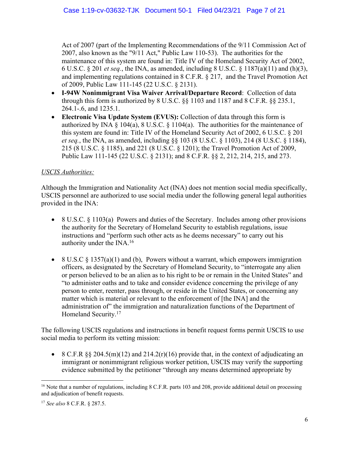Act of 2007 (part of the Implementing Recommendations of the 9/11 Commission Act of 2007, also known as the "9/11 Act," Public Law 110-53). The authorities for the maintenance of this system are found in: Title IV of the Homeland Security Act of 2002, 6 U.S.C. § 201 *et seq.*, the INA, as amended, including 8 U.S.C. § 1187(a)(11) and (h)(3), and implementing regulations contained in 8 C.F.R. § 217, and the Travel Promotion Act of 2009, Public Law 111-145 (22 U.S.C. § 2131).

- **I-94W Nonimmigrant Visa Waiver Arrival/Departure Record**: Collection of data through this form is authorized by 8 U.S.C. §§ 1103 and 1187 and 8 C.F.R. §§ 235.1, 264.1-.6, and 1235.1.
- **Electronic Visa Update System (EVUS):** Collection of data through this form is authorized by INA § 104(a), 8 U.S.C. § 1104(a). The authorities for the maintenance of this system are found in: Title IV of the Homeland Security Act of 2002, 6 U.S.C. § 201 *et seq.*, the INA, as amended, including §§ 103 (8 U.S.C. § 1103), 214 (8 U.S.C. § 1184), 215 (8 U.S.C. § 1185), and 221 (8 U.S.C. § 1201); the Travel Promotion Act of 2009, Public Law 111-145 (22 U.S.C. § 2131); and 8 C.F.R. §§ 2, 212, 214, 215, and 273.

# *USCIS Authorities:*

Although the Immigration and Nationality Act (INA) does not mention social media specifically, USCIS personnel are authorized to use social media under the following general legal authorities provided in the INA:

- 8 U.S.C. § 1103(a) Powers and duties of the Secretary. Includes among other provisions the authority for the Secretary of Homeland Security to establish regulations, issue instructions and "perform such other acts as he deems necessary" to carry out his authority under the INA.<sup>16</sup>
- 8 U.S.C  $\S 1357(a)(1)$  and (b), Powers without a warrant, which empowers immigration officers, as designated by the Secretary of Homeland Security, to "interrogate any alien or person believed to be an alien as to his right to be or remain in the United States" and "to administer oaths and to take and consider evidence concerning the privilege of any person to enter, reenter, pass through, or reside in the United States, or concerning any matter which is material or relevant to the enforcement of [the INA] and the administration of" the immigration and naturalization functions of the Department of Homeland Security.<sup>17</sup>

The following USCIS regulations and instructions in benefit request forms permit USCIS to use social media to perform its vetting mission:

• 8 C.F.R  $\S$  204.5(m)(12) and 214.2(r)(16) provide that, in the context of adjudicating an immigrant or nonimmigrant religious worker petition, USCIS may verify the supporting evidence submitted by the petitioner "through any means determined appropriate by

<sup>&</sup>lt;sup>16</sup> Note that a number of regulations, including 8 C.F.R. parts 103 and 208, provide additional detail on processing and adjudication of benefit requests.

<sup>17</sup> *See also* 8 C.F.R. § 287.5.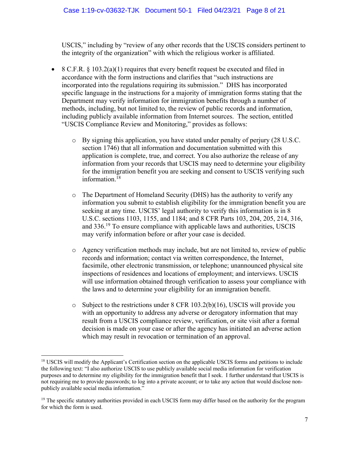USCIS," including by "review of any other records that the USCIS considers pertinent to the integrity of the organization" with which the religious worker is affiliated.

- 8 C.F.R.  $\S 103.2(a)(1)$  requires that every benefit request be executed and filed in accordance with the form instructions and clarifies that "such instructions are incorporated into the regulations requiring its submission." DHS has incorporated specific language in the instructions for a majority of immigration forms stating that the Department may verify information for immigration benefits through a number of methods, including, but not limited to, the review of public records and information, including publicly available information from Internet sources. The section, entitled "USCIS Compliance Review and Monitoring," provides as follows:
	- o By signing this application, you have stated under penalty of perjury (28 U.S.C. section 1746) that all information and documentation submitted with this application is complete, true, and correct. You also authorize the release of any information from your records that USCIS may need to determine your eligibility for the immigration benefit you are seeking and consent to USCIS verifying such information.<sup>18</sup>
	- o The Department of Homeland Security (DHS) has the authority to verify any information you submit to establish eligibility for the immigration benefit you are seeking at any time. USCIS' legal authority to verify this information is in 8 U.S.C. sections 1103, 1155, and 1184; and 8 CFR Parts 103, 204, 205, 214, 316, and 336.<sup>19</sup> To ensure compliance with applicable laws and authorities, USCIS may verify information before or after your case is decided.
	- o Agency verification methods may include, but are not limited to, review of public records and information; contact via written correspondence, the Internet, facsimile, other electronic transmission, or telephone; unannounced physical site inspections of residences and locations of employment; and interviews. USCIS will use information obtained through verification to assess your compliance with the laws and to determine your eligibility for an immigration benefit.
	- $\circ$  Subject to the restrictions under 8 CFR 103.2(b)(16), USCIS will provide you with an opportunity to address any adverse or derogatory information that may result from a USCIS compliance review, verification, or site visit after a formal decision is made on your case or after the agency has initiated an adverse action which may result in revocation or termination of an approval.

<sup>&</sup>lt;sup>18</sup> USCIS will modify the Applicant's Certification section on the applicable USCIS forms and petitions to include the following text: "I also authorize USCIS to use publicly available social media information for verification purposes and to determine my eligibility for the immigration benefit that I seek. I further understand that USCIS is not requiring me to provide passwords; to log into a private account; or to take any action that would disclose nonpublicly available social media information."

<sup>&</sup>lt;sup>19</sup> The specific statutory authorities provided in each USCIS form may differ based on the authority for the program for which the form is used.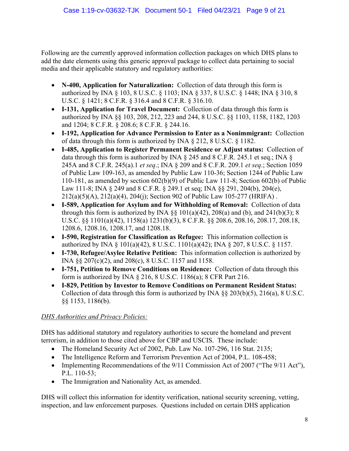Following are the currently approved information collection packages on which DHS plans to add the date elements using this generic approval package to collect data pertaining to social media and their applicable statutory and regulatory authorities:

- **N-400, Application for Naturalization:** Collection of data through this form is authorized by INA § 103, 8 U.S.C. § 1103; INA § 337, 8 U.S.C. § 1448; INA § 310, 8 U.S.C. § 1421; 8 C.F.R. § 316.4 and 8 C.F.R. § 316.10.
- **I-131, Application for Travel Document:** Collection of data through this form is authorized by INA §§ 103, 208, 212, 223 and 244, 8 U.S.C. §§ 1103, 1158, 1182, 1203 and 1204; 8 C.F.R. § 208.6; 8 C.F.R. § 244.16.
- **I-192, Application for Advance Permission to Enter as a Nonimmigrant:** Collection of data through this form is authorized by INA § 212, 8 U.S.C. § 1182.
- **I-485, Application to Register Permanent Residence or Adjust status:** Collection of data through this form is authorized by INA § 245 and 8 C.F.R. 245.1 et seq.; INA § 245A and 8 C.F.R. 245(a).1 *et seq*.; INA § 209 and 8 C.F.R. 209.1 *et seq*.; Section 1059 of Public Law 109-163, as amended by Public Law 110-36; Section 1244 of Public Law 110-181, as amended by section 602(b)(9) of Public Law 111-8; Section 602(b) of Public Law 111-8; INA § 249 and 8 C.F.R. § 249.1 et seq; INA §§ 291, 204(b), 204(e), 212(a)(5)(A), 212(a)(4), 204(j); Section 902 of Public Law 105-277 (HRIFA) .
- **I-589, Application for Asylum and for Withholding of Removal:** Collection of data through this form is authorized by INA  $\S$ § 101(a)(42), 208(a) and (b), and 241(b)(3); 8 U.S.C. §§ 1101(a)(42), 1158(a) 1231(b)(3), 8 C.F.R. §§ 208.6, 208.16, 208.17, 208.18, 1208.6, 1208.16, 1208.17, and 1208.18.
- **I-590, Registration for Classification as Refugee:** This information collection is authorized by INA § 101(a)(42), 8 U.S.C. 1101(a)(42); INA § 207, 8 U.S.C. § 1157.
- **I-730, Refugee/Asylee Relative Petition:** This information collection is authorized by INA §§ 207(c)(2), and 208(c), 8 U.S.C. 1157 and 1158.
- **I-751, Petition to Remove Conditions on Residence:** Collection of data through this form is authorized by INA § 216, 8 U.S.C. 1186(a); 8 CFR Part 216.
- **I-829, Petition by Investor to Remove Conditions on Permanent Resident Status:** Collection of data through this form is authorized by INA §§ 203(b)(5), 216(a), 8 U.S.C. §§ 1153, 1186(b).

# *DHS Authorities and Privacy Policies:*

DHS has additional statutory and regulatory authorities to secure the homeland and prevent terrorism, in addition to those cited above for CBP and USCIS. These include:

- The Homeland Security Act of 2002, Pub. Law No. 107-296, 116 Stat. 2135;
- The Intelligence Reform and Terrorism Prevention Act of 2004, P.L. 108-458;
- Implementing Recommendations of the 9/11 Commission Act of 2007 ("The 9/11 Act"), P.L. 110-53;
- The Immigration and Nationality Act, as amended.

DHS will collect this information for identity verification, national security screening, vetting, inspection, and law enforcement purposes. Questions included on certain DHS application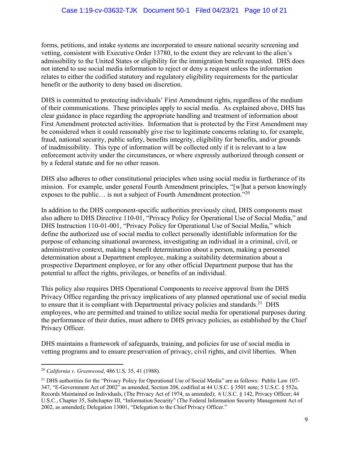forms, petitions, and intake systems are incorporated to ensure national security screening and vetting, consistent with Executive Order 13780, to the extent they are relevant to the alien's admissibility to the United States or eligibility for the immigration benefit requested. DHS does not intend to use social media information to reject or deny a request unless the information relates to either the codified statutory and regulatory eligibility requirements for the particular benefit or the authority to deny based on discretion.

DHS is committed to protecting individuals' First Amendment rights, regardless of the medium of their communications. These principles apply to social media. As explained above, DHS has clear guidance in place regarding the appropriate handling and treatment of information about First Amendment protected activities. Information that is protected by the First Amendment may be considered when it could reasonably give rise to legitimate concerns relating to, for example, fraud, national security, public safety, benefits integrity, eligibility for benefits, and/or grounds of inadmissibility. This type of information will be collected only if it is relevant to a law enforcement activity under the circumstances, or where expressly authorized through consent or by a federal statute and for no other reason.

DHS also adheres to other constitutional principles when using social media in furtherance of its mission. For example, under general Fourth Amendment principles, "[w]hat a person knowingly exposes to the public… is not a subject of Fourth Amendment protection."<sup>20</sup>

In addition to the DHS component-specific authorities previously cited, DHS components must also adhere to DHS Directive 110-01, "Privacy Policy for Operational Use of Social Media," and DHS Instruction 110-01-001, "Privacy Policy for Operational Use of Social Media," which define the authorized use of social media to collect personally identifiable information for the purpose of enhancing situational awareness, investigating an individual in a criminal, civil, or administrative context, making a benefit determination about a person, making a personnel determination about a Department employee, making a suitability determination about a prospective Department employee, or for any other official Department purpose that has the potential to affect the rights, privileges, or benefits of an individual.

This policy also requires DHS Operational Components to receive approval from the DHS Privacy Office regarding the privacy implications of any planned operational use of social media to ensure that it is compliant with Departmental privacy policies and standards.<sup>21</sup> DHS employees, who are permitted and trained to utilize social media for operational purposes during the performance of their duties, must adhere to DHS privacy policies, as established by the Chief Privacy Officer.

DHS maintains a framework of safeguards, training, and policies for use of social media in vetting programs and to ensure preservation of privacy, civil rights, and civil liberties. When

<sup>20</sup> *California v. Greenwood*, 486 U.S. 35, 41 (1988).

<sup>&</sup>lt;sup>21</sup> DHS authorities for the "Privacy Policy for Operational Use of Social Media" are as follows: Public Law 107-347, "E-Government Act of 2002" as amended, Section 208, codified at 44 U.S.C. § 3501 note; 5 U.S.C. § 552a, Records Maintained on Individuals, (The Privacy Act of 1974, as amended); 6 U.S.C. § 142, Privacy Officer; 44 U.S.C., Chapter 35, Subchapter III, "Information Security" (The Federal Information Security Management Act of 2002, as amended); Delegation 13001, "Delegation to the Chief Privacy Officer."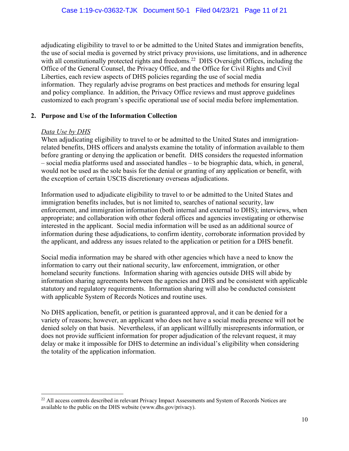adjudicating eligibility to travel to or be admitted to the United States and immigration benefits, the use of social media is governed by strict privacy provisions, use limitations, and in adherence with all constitutionally protected rights and freedoms.<sup>22</sup> DHS Oversight Offices, including the Office of the General Counsel, the Privacy Office, and the Office for Civil Rights and Civil Liberties, each review aspects of DHS policies regarding the use of social media information. They regularly advise programs on best practices and methods for ensuring legal and policy compliance. In addition, the Privacy Office reviews and must approve guidelines customized to each program's specific operational use of social media before implementation.

## **2. Purpose and Use of the Information Collection**

## *Data Use by DHS*

When adjudicating eligibility to travel to or be admitted to the United States and immigrationrelated benefits, DHS officers and analysts examine the totality of information available to them before granting or denying the application or benefit. DHS considers the requested information – social media platforms used and associated handles – to be biographic data, which, in general, would not be used as the sole basis for the denial or granting of any application or benefit, with the exception of certain USCIS discretionary overseas adjudications.

Information used to adjudicate eligibility to travel to or be admitted to the United States and immigration benefits includes, but is not limited to, searches of national security, law enforcement, and immigration information (both internal and external to DHS); interviews, when appropriate; and collaboration with other federal offices and agencies investigating or otherwise interested in the applicant. Social media information will be used as an additional source of information during these adjudications, to confirm identity, corroborate information provided by the applicant, and address any issues related to the application or petition for a DHS benefit.

Social media information may be shared with other agencies which have a need to know the information to carry out their national security, law enforcement, immigration, or other homeland security functions. Information sharing with agencies outside DHS will abide by information sharing agreements between the agencies and DHS and be consistent with applicable statutory and regulatory requirements. Information sharing will also be conducted consistent with applicable System of Records Notices and routine uses.

No DHS application, benefit, or petition is guaranteed approval, and it can be denied for a variety of reasons; however, an applicant who does not have a social media presence will not be denied solely on that basis. Nevertheless, if an applicant willfully misrepresents information, or does not provide sufficient information for proper adjudication of the relevant request, it may delay or make it impossible for DHS to determine an individual's eligibility when considering the totality of the application information.

<sup>&</sup>lt;sup>22</sup> All access controls described in relevant Privacy Impact Assessments and System of Records Notices are available to the public on the DHS website (www.dhs.gov/privacy).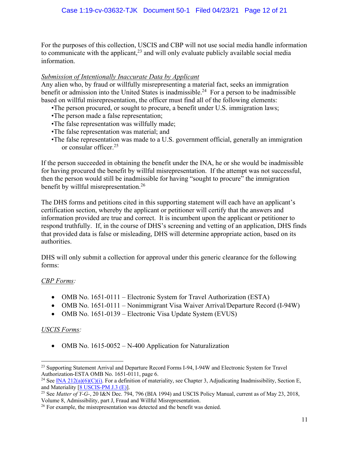For the purposes of this collection, USCIS and CBP will not use social media handle information to communicate with the applicant, $2<sup>3</sup>$  and will only evaluate publicly available social media information.

## *Submission of Intentionally Inaccurate Data by Applicant*

Any alien who, by fraud or willfully misrepresenting a material fact, seeks an immigration benefit or admission into the United States is inadmissible.<sup>24</sup> For a person to be inadmissible based on willful misrepresentation, the officer must find all of the following elements:

- •The person procured, or sought to procure, a benefit under U.S. immigration laws;
- •The person made a false representation;
- •The false representation was willfully made;
- •The false representation was material; and
- •The false representation was made to a U.S. government official, generally an immigration or consular officer.<sup>25</sup>

If the person succeeded in obtaining the benefit under the INA, he or she would be inadmissible for having procured the benefit by willful misrepresentation. If the attempt was not successful, then the person would still be inadmissible for having "sought to procure" the immigration benefit by willful misrepresentation.<sup>26</sup>

The DHS forms and petitions cited in this supporting statement will each have an applicant's certification section, whereby the applicant or petitioner will certify that the answers and information provided are true and correct. It is incumbent upon the applicant or petitioner to respond truthfully. If, in the course of DHS's screening and vetting of an application, DHS finds that provided data is false or misleading, DHS will determine appropriate action, based on its authorities.

DHS will only submit a collection for approval under this generic clearance for the following forms:

## *CBP Forms:*

- OMB No. 1651-0111 Electronic System for Travel Authorization (ESTA)
- OMB No. 1651-0111 Nonimmigrant Visa Waiver Arrival/Departure Record (I-94W)
- OMB No. 1651-0139 Electronic Visa Update System (EVUS)

## *USCIS Forms:*

• OMB No. 1615-0052 – N-400 Application for Naturalization

<sup>&</sup>lt;sup>23</sup> Supporting Statement Arrival and Departure Record Forms I-94, I-94W and Electronic System for Travel Authorization-ESTA OMB No. 1651-0111, page 6.

<sup>&</sup>lt;sup>24</sup> See INA 212(a)(6)(C)(i). For a definition of materiality, see Chapter 3, Adjudicating Inadmissibility, Section E, and Materiality [8 USCIS-PM J.3 (E)].

<sup>&</sup>lt;sup>25</sup> See *Matter of Y-G-*, 20 I&N Dec. 794, 796 (BIA 1994) and USCIS Policy Manual, current as of May 23, 2018, Volume 8, Admissibility, part J, Fraud and Willful Misrepresentation.

<sup>&</sup>lt;sup>26</sup> For example, the misrepresentation was detected and the benefit was denied.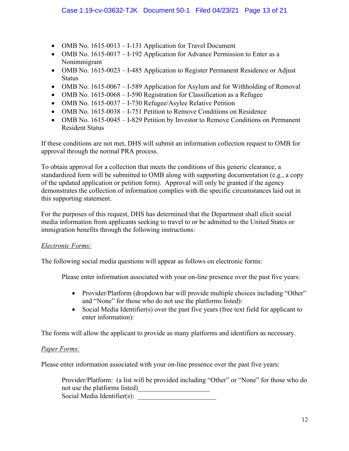- OMB No. 1615-0013 I-131 Application for Travel Document
- OMB No. 1615-0017 I-192 Application for Advance Permission to Enter as a Nonimmigrant
- OMB No. 1615-0023 I-485 Application to Register Permanent Residence or Adjust Status
- OMB No. 1615-0067 I-589 Application for Asylum and for Withholding of Removal
- OMB No. 1615-0068 I-590 Registration for Classification as a Refugee
- OMB No. 1615-0037 I-730 Refugee/Asylee Relative Petition
- OMB No. 1615-0038 I-751 Petition to Remove Conditions on Residence
- OMB No. 1615-0045 I-829 Petition by Investor to Remove Conditions on Permanent Resident Status

If these conditions are not met, DHS will submit an information collection request to OMB for approval through the normal PRA process.

To obtain approval for a collection that meets the conditions of this generic clearance, a standardized form will be submitted to OMB along with supporting documentation (e.g., a copy of the updated application or petition form). Approval will only be granted if the agency demonstrates the collection of information complies with the specific circumstances laid out in this supporting statement.

For the purposes of this request, DHS has determined that the Department shall elicit social media information from applicants seeking to travel to or be admitted to the United States or immigration benefits through the following instructions:

## *Electronic Forms:*

The following social media questions will appear as follows on electronic forms:

Please enter information associated with your on-line presence over the past five years:

- Provider/Platform (dropdown bar will provide multiple choices including "Other" and "None" for those who do not use the platforms listed):
- Social Media Identifier(s) over the past five years (free text field for applicant to enter information):

The forms will allow the applicant to provide as many platforms and identifiers as necessary.

## *Paper Forms:*

Please enter information associated with your on-line presence over the past five years:

Provider/Platform: (a list will be provided including "Other" or "None" for those who do not use the platforms listed) Social Media Identifier(s):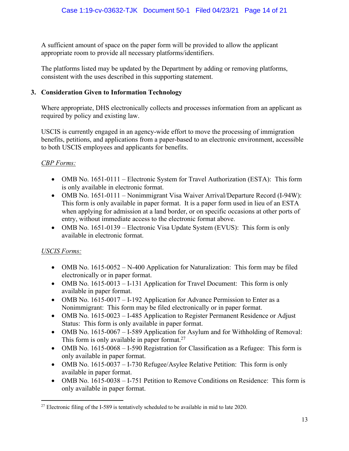A sufficient amount of space on the paper form will be provided to allow the applicant appropriate room to provide all necessary platforms/identifiers.

The platforms listed may be updated by the Department by adding or removing platforms, consistent with the uses described in this supporting statement.

## **3. Consideration Given to Information Technology**

Where appropriate, DHS electronically collects and processes information from an applicant as required by policy and existing law.

USCIS is currently engaged in an agency-wide effort to move the processing of immigration benefits, petitions, and applications from a paper-based to an electronic environment, accessible to both USCIS employees and applicants for benefits.

# *CBP Forms:*

- OMB No. 1651-0111 Electronic System for Travel Authorization (ESTA): This form is only available in electronic format.
- OMB No. 1651-0111 Nonimmigrant Visa Waiver Arrival/Departure Record (I-94W): This form is only available in paper format. It is a paper form used in lieu of an ESTA when applying for admission at a land border, or on specific occasions at other ports of entry, without immediate access to the electronic format above.
- OMB No. 1651-0139 Electronic Visa Update System (EVUS): This form is only available in electronic format.

# *USCIS Forms:*

- OMB No. 1615-0052 N-400 Application for Naturalization: This form may be filed electronically or in paper format.
- OMB No. 1615-0013 I-131 Application for Travel Document: This form is only available in paper format.
- OMB No. 1615-0017 I-192 Application for Advance Permission to Enter as a Nonimmigrant: This form may be filed electronically or in paper format.
- OMB No. 1615-0023 I-485 Application to Register Permanent Residence or Adjust Status: This form is only available in paper format.
- OMB No. 1615-0067 I-589 Application for Asylum and for Withholding of Removal: This form is only available in paper format.<sup>27</sup>
- OMB No. 1615-0068 I-590 Registration for Classification as a Refugee: This form is only available in paper format.
- OMB No. 1615-0037 I-730 Refugee/Asylee Relative Petition: This form is only available in paper format.
- OMB No. 1615-0038 I-751 Petition to Remove Conditions on Residence: This form is only available in paper format.

 $27$  Electronic filing of the I-589 is tentatively scheduled to be available in mid to late 2020.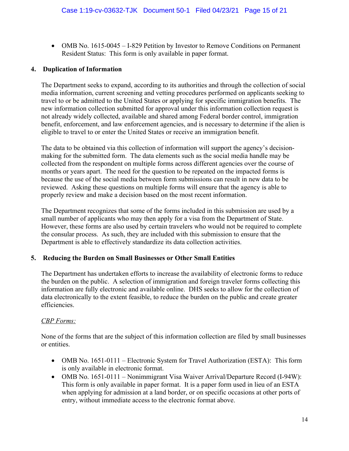• OMB No. 1615-0045 – I-829 Petition by Investor to Remove Conditions on Permanent Resident Status: This form is only available in paper format.

### **4. Duplication of Information**

The Department seeks to expand, according to its authorities and through the collection of social media information, current screening and vetting procedures performed on applicants seeking to travel to or be admitted to the United States or applying for specific immigration benefits. The new information collection submitted for approval under this information collection request is not already widely collected, available and shared among Federal border control, immigration benefit, enforcement, and law enforcement agencies, and is necessary to determine if the alien is eligible to travel to or enter the United States or receive an immigration benefit.

The data to be obtained via this collection of information will support the agency's decisionmaking for the submitted form. The data elements such as the social media handle may be collected from the respondent on multiple forms across different agencies over the course of months or years apart. The need for the question to be repeated on the impacted forms is because the use of the social media between form submissions can result in new data to be reviewed. Asking these questions on multiple forms will ensure that the agency is able to properly review and make a decision based on the most recent information.

The Department recognizes that some of the forms included in this submission are used by a small number of applicants who may then apply for a visa from the Department of State. However, these forms are also used by certain travelers who would not be required to complete the consular process. As such, they are included with this submission to ensure that the Department is able to effectively standardize its data collection activities.

#### **5. Reducing the Burden on Small Businesses or Other Small Entities**

The Department has undertaken efforts to increase the availability of electronic forms to reduce the burden on the public. A selection of immigration and foreign traveler forms collecting this information are fully electronic and available online. DHS seeks to allow for the collection of data electronically to the extent feasible, to reduce the burden on the public and create greater efficiencies.

## *CBP Forms:*

None of the forms that are the subject of this information collection are filed by small businesses or entities.

- OMB No. 1651-0111 Electronic System for Travel Authorization (ESTA): This form is only available in electronic format.
- OMB No. 1651-0111 Nonimmigrant Visa Waiver Arrival/Departure Record (I-94W): This form is only available in paper format. It is a paper form used in lieu of an ESTA when applying for admission at a land border, or on specific occasions at other ports of entry, without immediate access to the electronic format above.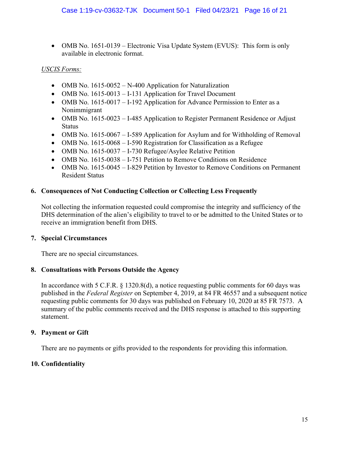• OMB No. 1651-0139 – Electronic Visa Update System (EVUS): This form is only available in electronic format.

# *USCIS Forms:*

- OMB No. 1615-0052 N-400 Application for Naturalization
- OMB No. 1615-0013 I-131 Application for Travel Document
- OMB No. 1615-0017 I-192 Application for Advance Permission to Enter as a Nonimmigrant
- OMB No. 1615-0023 I-485 Application to Register Permanent Residence or Adjust Status
- OMB No. 1615-0067 I-589 Application for Asylum and for Withholding of Removal
- OMB No. 1615-0068 I-590 Registration for Classification as a Refugee
- OMB No. 1615-0037 I-730 Refugee/Asylee Relative Petition
- OMB No. 1615-0038 I-751 Petition to Remove Conditions on Residence
- OMB No. 1615-0045 I-829 Petition by Investor to Remove Conditions on Permanent Resident Status

# **6. Consequences of Not Conducting Collection or Collecting Less Frequently**

Not collecting the information requested could compromise the integrity and sufficiency of the DHS determination of the alien's eligibility to travel to or be admitted to the United States or to receive an immigration benefit from DHS.

## **7. Special Circumstances**

There are no special circumstances.

## **8. Consultations with Persons Outside the Agency**

In accordance with 5 C.F.R. § 1320.8(d), a notice requesting public comments for 60 days was published in the *Federal Register* on September 4, 2019, at 84 FR 46557 and a subsequent notice requesting public comments for 30 days was published on February 10, 2020 at 85 FR 7573. A summary of the public comments received and the DHS response is attached to this supporting statement.

## **9. Payment or Gift**

There are no payments or gifts provided to the respondents for providing this information.

# **10. Confidentiality**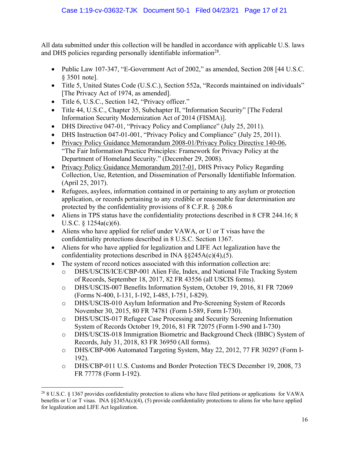All data submitted under this collection will be handled in accordance with applicable U.S. laws and DHS policies regarding personally identifiable information<sup>28</sup>.

- Public Law 107-347, "E-Government Act of 2002," as amended, Section 208 [44 U.S.C.] § 3501 note].
- Title 5, United States Code (U.S.C.), Section 552a, "Records maintained on individuals" [The Privacy Act of 1974, as amended].
- Title 6, U.S.C., Section 142, "Privacy officer."
- Title 44, U.S.C., Chapter 35, Subchapter II, "Information Security" [The Federal Information Security Modernization Act of 2014 (FISMA)].
- DHS Directive 047-01, "Privacy Policy and Compliance" (July 25, 2011).
- DHS Instruction 047-01-001, "Privacy Policy and Compliance" (July 25, 2011).
- Privacy Policy Guidance Memorandum 2008-01/Privacy Policy Directive 140-06, "The Fair Information Practice Principles: Framework for Privacy Policy at the Department of Homeland Security." (December 29, 2008).
- Privacy Policy Guidance Memorandum 2017-01, DHS Privacy Policy Regarding Collection, Use, Retention, and Dissemination of Personally Identifiable Information. (April 25, 2017).
- Refugees, asylees, information contained in or pertaining to any asylum or protection application, or records pertaining to any credible or reasonable fear determination are protected by the confidentiality provisions of 8 C.F.R. § 208.6
- Aliens in TPS status have the confidentiality protections described in 8 CFR 244.16; 8 U.S.C. § 1254a(c)(6).
- Aliens who have applied for relief under VAWA, or U or T visas have the confidentiality protections described in 8 U.S.C. Section 1367.
- Aliens for who have applied for legalization and LIFE Act legalization have the confidentiality protections described in INA  $\S$ §245A(c)(4),(5).
- The system of record notices associated with this information collection are:
	- o DHS/USCIS/ICE/CBP-001 Alien File, Index, and National File Tracking System of Records, September 18, 2017, 82 FR 43556 (all USCIS forms).
	- o DHS/USCIS-007 Benefits Information System, October 19, 2016, 81 FR 72069 (Forms N-400, I-131, I-192, I-485, I-751, I-829).
	- o DHS/USCIS-010 Asylum Information and Pre-Screening System of Records November 30, 2015, 80 FR 74781 (Form I-589, Form I-730).
	- o DHS/USCIS-017 Refugee Case Processing and Security Screening Information System of Records October 19, 2016, 81 FR 72075 (Form I-590 and I-730)
	- o DHS/USCIS-018 Immigration Biometric and Background Check (IBBC) System of Records, July 31, 2018, 83 FR 36950 (All forms).
	- o DHS/CBP-006 Automated Targeting System, May 22, 2012, 77 FR 30297 (Form I-192).
	- o DHS/CBP-011 U.S. Customs and Border Protection TECS December 19, 2008, 73 FR 77778 (Form I-192).

<sup>28</sup> 8 U.S.C. § 1367 provides confidentiality protection to aliens who have filed petitions or applications for VAWA benefits or U or T visas. INA  $\S$ 245A(c)(4), (5) provide confidentiality protections to aliens for who have applied for legalization and LIFE Act legalization.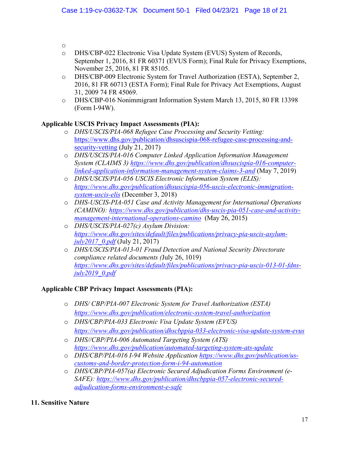o

- o DHS/CBP-022 Electronic Visa Update System (EVUS) System of Records, September 1, 2016, 81 FR 60371 (EVUS Form); Final Rule for Privacy Exemptions, November 25, 2016, 81 FR 85105.
- o DHS/CBP-009 Electronic System for Travel Authorization (ESTA), September 2, 2016, 81 FR 60713 (ESTA Form); Final Rule for Privacy Act Exemptions, August 31, 2009 74 FR 45069.
- o DHS/CBP-016 Nonimmigrant Information System March 13, 2015, 80 FR 13398 (Form I-94W).

# **Applicable USCIS Privacy Impact Assessments (PIA):**

- o *DHS/USCIS/PIA-068 Refugee Case Processing and Security Vetting:* https://www.dhs.gov/publication/dhsuscispia-068-refugee-case-processing-andsecurity-vetting (July 21, 2017)
- o *DHS/USCIS/PIA-016 Computer Linked Application Information Management System (CLAIMS 3) https://www.dhs.gov/publication/dhsuscispia-016-computerlinked-application-information-management-system-claims-3-and* (May 7, 2019)
- o *DHS/USCIS/PIA-056 USCIS Electronic Information System (ELIS): https://www.dhs.gov/publication/dhsuscispia-056-uscis-electronic-immigrationsystem-uscis-elis* (December 3, 2018)
- o *DHS-USCIS-PIA-051 Case and Activity Management for International Operations (CAMINO): https://www.dhs.gov/publication/dhs-uscis-pia-051-case-and-activitymanagement-international-operations-camino* (May 26, 2015)
- o *DHS/USCIS/PIA-027(c) Asylum Division: https://www.dhs.gov/sites/default/files/publications/privacy-pia-uscis-asylumjuly2017\_0.pdf* (July 21, 2017)
- o *DHS/USCIS/PIA-013-01 Fraud Detection and National Security Directorate compliance related documents (*July 26, 1019) *https://www.dhs.gov/sites/default/files/publications/privacy-pia-uscis-013-01-fdnsjuly2019\_0.pdf*

# **Applicable CBP Privacy Impact Assessments (PIA):**

- o *DHS/ CBP/PIA-007 Electronic System for Travel Authorization (ESTA) https://www.dhs.gov/publication/electronic-system-travel-authorization*
- o *DHS/CBP/PIA-033 Electronic Visa Update System (EVUS) https://www.dhs.gov/publication/dhscbppia-033-electronic-visa-update-system-evus*
- o *DHS//CBP/PIA-006 Automated Targeting System (ATS) https://www.dhs.gov/publication/automated-targeting-system-ats-update*
- o *DHS/CBP/PIA-016 I-94 Website Application https://www.dhs.gov/publication/uscustoms-and-border-protection-form-i-94-automation*
- o *DHS/CBP/PIA-057(a) Electronic Secured Adjudication Forms Environment (e-SAFE): https://www.dhs.gov/publication/dhscbppia-057-electronic-securedadjudication-forms-environment-e-safe*
- **11. Sensitive Nature**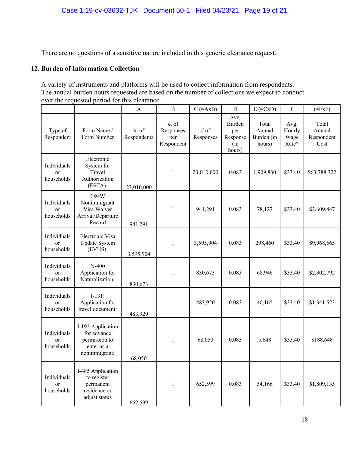There are no questions of a sensitive nature included in this generic clearance request.

## **12. Burden of Information Collection**

A variety of instruments and platforms will be used to collect information from respondents. The annual burden hours requested are based on the number of collections we expect to conduct over the requested period for this clearance.

|                                            |                                                                                  | $\overline{A}$          | $\overline{B}$                          | $C$ (=AxB)           | $\mathbf D$                                        | $E$ (= $CxD$ )                          | $\rm F$                         | $(=ExF)$                              |
|--------------------------------------------|----------------------------------------------------------------------------------|-------------------------|-----------------------------------------|----------------------|----------------------------------------------------|-----------------------------------------|---------------------------------|---------------------------------------|
| Type of<br>Respondent                      | Form Name /<br>Form Number                                                       | $#$ . of<br>Respondents | #. of<br>Responses<br>per<br>Respondent | $\#$ of<br>Responses | Avg.<br>Burden<br>per<br>Response<br>(in<br>hours) | Total<br>Annual<br>Burden (in<br>hours) | Avg.<br>Hourly<br>Wage<br>Rate* | Total<br>Annual<br>Respondent<br>Cost |
| Individuals<br><sub>or</sub><br>households | Electronic<br>System for<br>Travel<br>Authorization<br>(ESTA):                   | 23,010,000              | 1                                       | 23,010,000           | 0.083                                              | 1,909,830                               | \$33.40                         | \$63,788,322                          |
| Individuals<br>or<br>households            | $I-94W$<br>Nonimmigrant<br>Visa Waiver<br>Arrival/Departure<br>Record            | 941,291                 | 1                                       | 941,291              | 0.083                                              | 78,127                                  | \$33.40                         | \$2,609,447                           |
| Individuals<br>or<br>households            | Electronic Visa<br><b>Update System</b><br>(EVUS):                               | 3,595,904               | 1                                       | 3,595,904            | 0.083                                              | 298,460                                 | \$33.40                         | \$9,968,565                           |
| Individuals<br><sub>or</sub><br>households | $N-400$<br>Application for<br>Naturalization:                                    | 830,673                 | 1                                       | 830,673              | 0.083                                              | 68,946                                  | \$33.40                         | \$2,302,792                           |
| Individuals<br>or<br>households            | $I-131:$<br>Application for<br>travel document:                                  | 483,920                 | 1                                       | 483,920              | 0.083                                              | 40,165                                  | \$33.40                         | \$1,341,523                           |
| Individuals<br><sub>or</sub><br>households | I-192 Application<br>for advance<br>permission to<br>enter as a<br>nonimmigrant: | 68,050                  | 1                                       | 68,050               | 0.083                                              | 5,648                                   | \$33.40                         | \$188,648                             |
| Individuals<br>or<br>households            | I-485 Application<br>to register<br>permanent<br>residence or<br>adjust status   | 652,599                 | $\mathbf{1}$                            | 652,599              | 0.083                                              | 54,166                                  | \$33.40                         | \$1,809,135                           |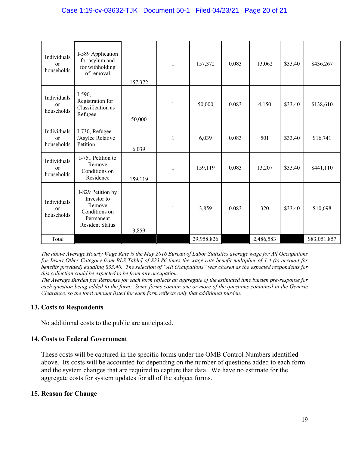| Individuals<br>or<br>households            | I-589 Application<br>for asylum and<br>for withholding<br>of removal                               | 157,372 | 1            | 157,372    | 0.083 | 13,062    | \$33.40 | \$436,267    |
|--------------------------------------------|----------------------------------------------------------------------------------------------------|---------|--------------|------------|-------|-----------|---------|--------------|
| Individuals<br><sub>or</sub><br>households | $I-590,$<br>Registration for<br>Classification as<br>Refugee                                       | 50,000  | 1            | 50,000     | 0.083 | 4,150     | \$33.40 | \$138,610    |
| Individuals<br>or<br>households            | I-730, Refugee<br>/Asylee Relative<br>Petition                                                     | 6,039   | 1            | 6,039      | 0.083 | 501       | \$33.40 | \$16,741     |
| Individuals<br>or<br>households            | I-751 Petition to<br>Remove<br>Conditions on<br>Residence                                          | 159,119 | 1            | 159,119    | 0.083 | 13,207    | \$33.40 | \$441,110    |
| Individuals<br>or<br>households            | I-829 Petition by<br>Investor to<br>Remove<br>Conditions on<br>Permanent<br><b>Resident Status</b> | 3,859   | $\mathbf{1}$ | 3,859      | 0.083 | 320       | \$33.40 | \$10,698     |
| Total                                      |                                                                                                    |         |              | 29,958,826 |       | 2,486,583 |         | \$83,051,857 |

*The above Average Hourly Wage Rate is the May 2016 Bureau of Labor Statistics average wage for All Occupations [or Insert Other Category from BLS Table] of \$23.86 times the wage rate benefit multiplier of 1.4 (to account for benefits provided) equaling \$33.40. The selection of "All Occupations" was chosen as the expected respondents for this collection could be expected to be from any occupation.*

*The Average Burden per Response for each form reflects an aggregate of the estimated time burden pre-response for each question being added to the form. Some forms contain one or more of the questions contained in the Generic Clearance, so the total amount listed for each form reflects only that additional burden.*

## **13. Costs to Respondents**

No additional costs to the public are anticipated.

## **14. Costs to Federal Government**

These costs will be captured in the specific forms under the OMB Control Numbers identified above. Its costs will be accounted for depending on the number of questions added to each form and the system changes that are required to capture that data. We have no estimate for the aggregate costs for system updates for all of the subject forms.

## **15. Reason for Change**